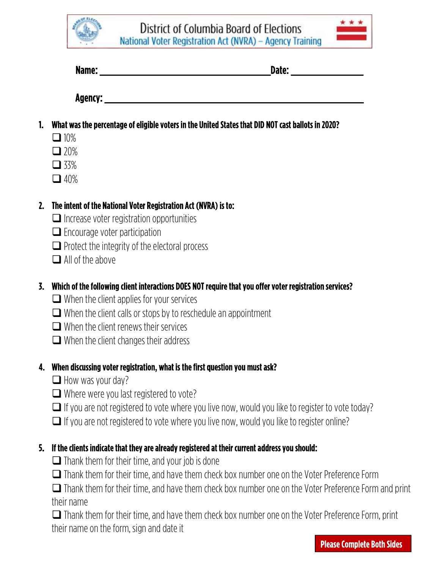District of Columbia Board of Elections National Voter Registration Act (NVRA) - Agency Training

| Name: | ⊿ate: |  |
|-------|-------|--|
|       |       |  |

Agency:

- 1. What was the percentage of eligible voters in the United States that DID NOT cast ballots in 2020?
	- $\Box$  10%
	- $\Box$  20%
	- $\Box$  33%
	- $\Box$  40%

## 2. The intent of the National Voter Registration Act (NVRA) is to:

- $\Box$  Increase voter registration opportunities
- $\Box$  Encourage voter participation
- $\Box$  Protect the integrity of the electoral process
- $\Box$  All of the above

# 3. Which of the following client interactions DOES NOT require that you offer voter registration services?

- $\Box$  When the client applies for your services
- $\Box$  When the client calls or stops by to reschedule an appointment
- $\Box$  When the client renews their services
- $\Box$  When the client changes their address

#### 4. When discussing voter registration, what is the first question you must ask?

- $\Box$  How was your day?
- $\Box$  Where were you last registered to vote?
- $\Box$  If you are not registered to vote where you live now, would you like to register to vote today?
- $\Box$  If you are not registered to vote where you live now, would you like to register online?

# 5. If the clients indicate that they are already registered at their current address you should:

- $\Box$  Thank them for their time, and your job is done
- Thank them for their time, and have them check box number one on the Voter Preference Form

 Thank them for their time, and have them check box number one on the Voter Preference Form and print their name

 Thank them for their time, and have them check box number one on the Voter Preference Form, print their name on the form, sign and date it